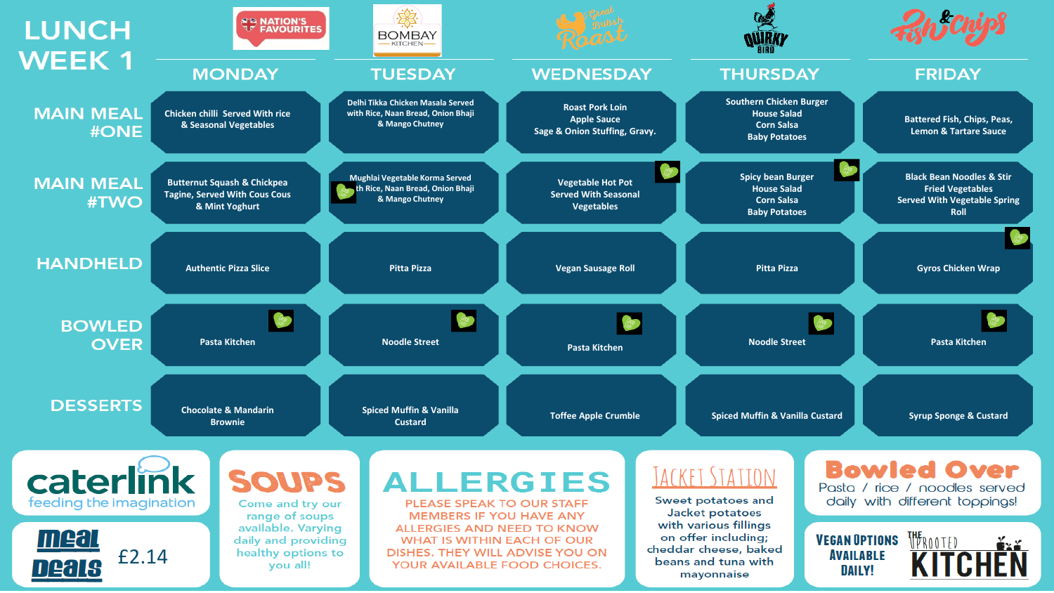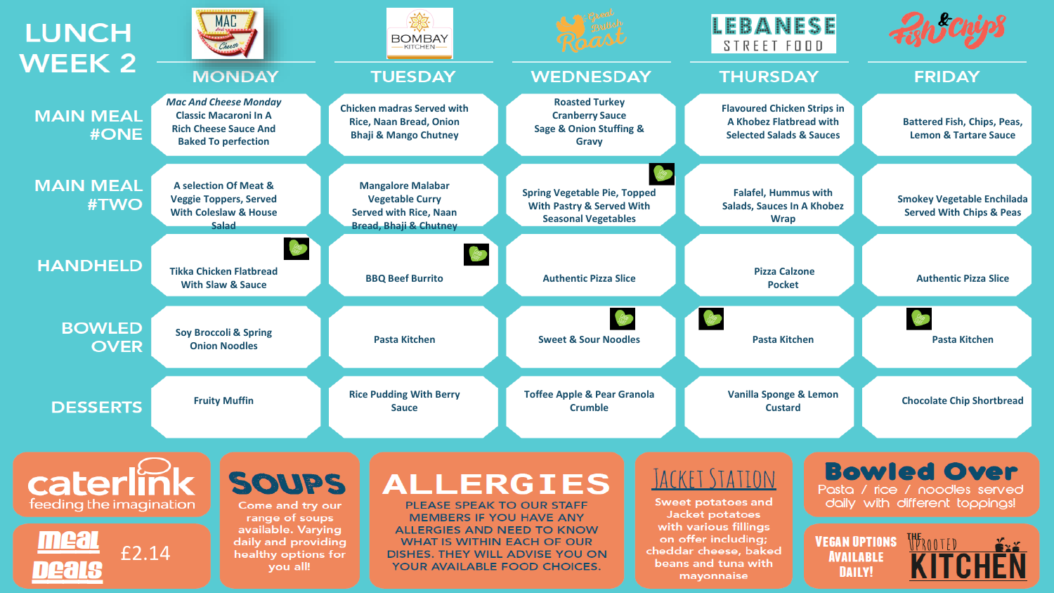